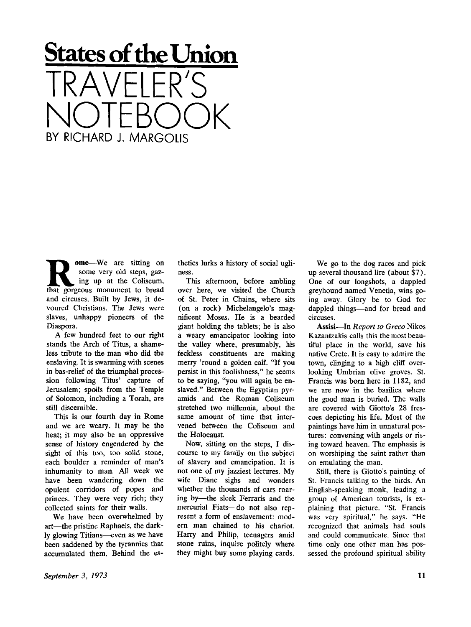## **States of the Union**  IRAVELER'S NOTEBOOK BY RICHARD J. MARGOLIS

**R ome**—We are sitting on<br>
some very old steps, gaz-<br>
ing up at the Coliseum,<br>
that gorgeous monument to bread ome**—**We are sitting on some very old steps, gazing up at the Coliseum, and circuses. Built by Jews, it devoured Christians. The Jews were slaves, unhappy pioneers of the Diaspora.

A few hundred feet to our right stands the Arch of Titus, a shameless tribute to the man who did the enslaving. It is swarming with scenes in bas-relief of the triumphal procession following Titus' capture of Jerusalem; spoils from the Temple of Solomon, including a Torah, are still discernible.

This is our fourth day in Rome and we are weary. It may be the heat; it may also be an oppressive sense of history engendered by the sight of this too, too solid stone, each boulder a reminder of man's inhumanity to man. All week we have been wandering down the opulent corridors of popes and princes. They were very rich; they collected saints for their walls.

We have been overwhelmed by art—the pristine Raphaels, the darkly glowing Titians—-even as we have been saddened by the tyrannies that accumulated them. Behind the esthetics lurks a history of social ugliness.

This afternoon, before ambling over here, we visited the Church of St. Peter in Chains, where sits (on a rock) Michelangelo's magnificent Moses. He is a bearded giant holding the tablets; he is also a weary emancipator looking into the valley where, presumably, his feckless constituents are making merry 'round a golden calf. "If you persist in this foolishness," he seems to be saying, "you will again be enslaved." Between the Egyptian pyramids and the Roman Coliseum stretched two millennia, about the same amount of time that intervened between the Coliseum and the Holocaust.

Now, sitting on the steps, I discourse to my family on the subject of slavery and emancipation. It is not one of my jazziest lectures. My wife Diane sighs and wonders whether the thousands of cars roaring by—the sleek Ferraris and the mercurial Fiats—do not also represent a form of enslavement: modern man chained to his chariot. Harry and Philip, teenagers amid stone ruins, inquire politely where they might buy some playing cards.

We go to the dog races and pick up several thousand lire (about \$7). One of our longshots, a dappled greyhound named Venetia, wins going away. Glory be to God for dappled things—and for bread and circuses.

Assisi-In Report to Greco Nikos Kazantzakis calls this the most beautiful place in the world, save his native Crete. It is easy to admire the town, clinging to a high cliff overlooking Umbrian olive groves. St. Francis was born here in 1182, and we are now in the basilica where the good man is buried. The walls are covered with Giotto's 28 frescoes depicting his life. Most of the paintings have him in unnatural postures: conversing with angels or rising toward heaven. The emphasis is on worshiping the saint rather than on emulating the man.

Still, there is Giotto's painting of St. Francis talking to the birds. An English-speaking monk, leading a group of American tourists, is explaining that picture. "St. Francis was very spiritual," he says. "He recognized that animals had souls and could communicate. Since that time only one other man has possessed the profound spiritual ability